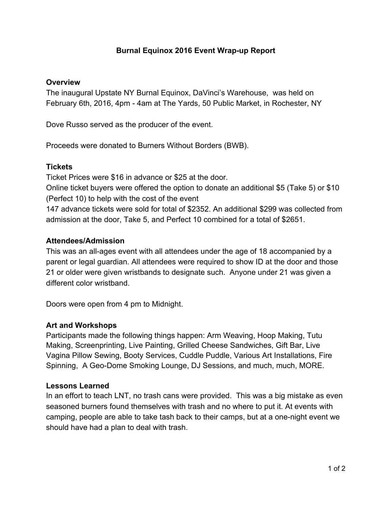## **Burnal Equinox 2016 Event Wrap-up Report**

#### **Overview**

The inaugural Upstate NY Burnal Equinox, DaVinci's Warehouse, was held on February 6th, 2016, 4pm - 4am at The Yards, 50 Public Market, in Rochester, NY

Dove Russo served as the producer of the event.

Proceeds were donated to Burners Without Borders (BWB).

## **Tickets**

Ticket Prices were \$16 in advance or \$25 at the door.

Online ticket buyers were offered the option to donate an additional \$5 (Take 5) or \$10 (Perfect 10) to help with the cost of the event

147 advance tickets were sold for total of \$2352. An additional \$299 was collected from admission at the door, Take 5, and Perfect 10 combined for a total of \$2651.

### **Attendees/Admission**

This was an all-ages event with all attendees under the age of 18 accompanied by a parent or legal guardian. All attendees were required to show ID at the door and those 21 or older were given wristbands to designate such. Anyone under 21 was given a different color wristband.

Doors were open from 4 pm to Midnight.

## **Art and Workshops**

Participants made the following things happen: Arm Weaving, Hoop Making, Tutu Making, Screenprinting, Live Painting, Grilled Cheese Sandwiches, Gift Bar, Live Vagina Pillow Sewing, Booty Services, Cuddle Puddle, Various Art Installations, Fire Spinning, A Geo-Dome Smoking Lounge, DJ Sessions, and much, much, MORE.

#### **Lessons Learned**

In an effort to teach LNT, no trash cans were provided. This was a big mistake as even seasoned burners found themselves with trash and no where to put it. At events with camping, people are able to take tash back to their camps, but at a one-night event we should have had a plan to deal with trash.